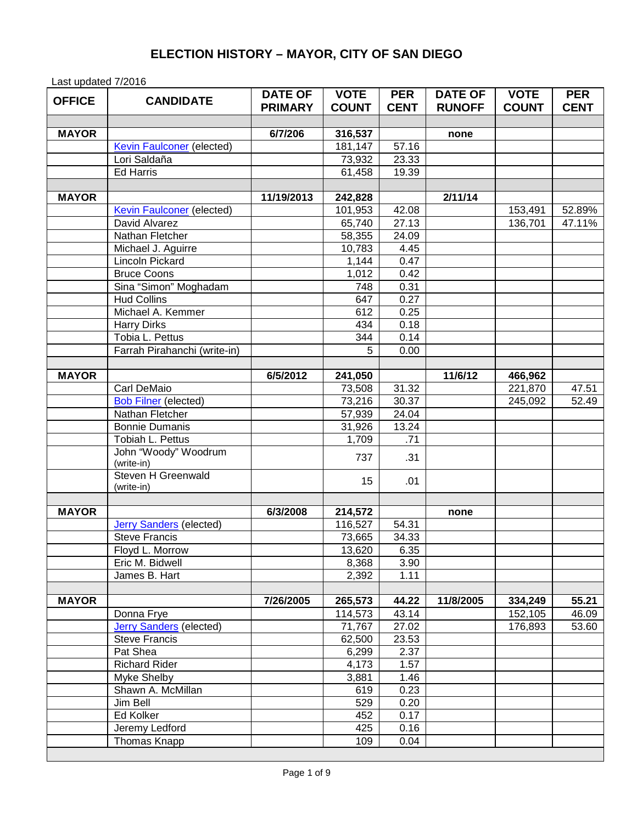## **ELECTION HISTORY – MAYOR, CITY OF SAN DIEGO**

Last updated 7/2016

| <b>OFFICE</b> | <b>CANDIDATE</b>                 | <b>DATE OF</b> | <b>VOTE</b>  | <b>PER</b>     | <b>DATE OF</b> | <b>VOTE</b>        | <b>PER</b><br><b>CENT</b> |
|---------------|----------------------------------|----------------|--------------|----------------|----------------|--------------------|---------------------------|
|               |                                  | <b>PRIMARY</b> | <b>COUNT</b> | <b>CENT</b>    | <b>RUNOFF</b>  | <b>COUNT</b>       |                           |
| <b>MAYOR</b>  |                                  | 6/7/206        | 316,537      |                |                |                    |                           |
|               | <b>Kevin Faulconer</b> (elected) |                | 181,147      | 57.16          | none           |                    |                           |
|               | Lori Saldaña                     |                | 73,932       | 23.33          |                |                    |                           |
|               | <b>Ed Harris</b>                 |                | 61,458       | 19.39          |                |                    |                           |
|               |                                  |                |              |                |                |                    |                           |
| <b>MAYOR</b>  |                                  | 11/19/2013     | 242,828      |                | 2/11/14        |                    |                           |
|               | <b>Kevin Faulconer</b> (elected) |                | 101,953      | 42.08          |                | 153,491            | 52.89%                    |
|               | David Alvarez                    |                | 65,740       | 27.13          |                | 136,701            | 47.11%                    |
|               | Nathan Fletcher                  |                | 58,355       | 24.09          |                |                    |                           |
|               | Michael J. Aguirre               |                | 10,783       | 4.45           |                |                    |                           |
|               | Lincoln Pickard                  |                | 1,144        | 0.47           |                |                    |                           |
|               | <b>Bruce Coons</b>               |                | 1,012        | 0.42           |                |                    |                           |
|               | Sina "Simon" Moghadam            |                | 748          | 0.31           |                |                    |                           |
|               | <b>Hud Collins</b>               |                | 647          | 0.27           |                |                    |                           |
|               | Michael A. Kemmer                |                | 612          | 0.25           |                |                    |                           |
|               | <b>Harry Dirks</b>               |                | 434          | 0.18           |                |                    |                           |
|               | Tobia L. Pettus                  |                | 344          | 0.14           |                |                    |                           |
|               | Farrah Pirahanchi (write-in)     |                | 5            | 0.00           |                |                    |                           |
|               |                                  |                |              |                |                |                    |                           |
| <b>MAYOR</b>  |                                  | 6/5/2012       | 241,050      |                | 11/6/12        | 466,962            |                           |
|               | Carl DeMaio                      |                | 73,508       | 31.32          |                | 221,870            | 47.51                     |
|               | <b>Bob Filner (elected)</b>      |                | 73,216       | 30.37          |                | 245,092            | 52.49                     |
|               | Nathan Fletcher                  |                | 57,939       | 24.04          |                |                    |                           |
|               | <b>Bonnie Dumanis</b>            |                | 31,926       | 13.24          |                |                    |                           |
|               | Tobiah L. Pettus                 |                | 1,709        | .71            |                |                    |                           |
|               | John "Woody" Woodrum             |                | 737          | .31            |                |                    |                           |
|               | (write-in)                       |                |              |                |                |                    |                           |
|               | Steven H Greenwald               |                | 15           | .01            |                |                    |                           |
|               | (write-in)                       |                |              |                |                |                    |                           |
|               |                                  |                |              |                |                |                    |                           |
| <b>MAYOR</b>  |                                  | 6/3/2008       | 214,572      |                | none           |                    |                           |
|               | <b>Jerry Sanders (elected)</b>   |                | 116,527      | 54.31          |                |                    |                           |
|               | <b>Steve Francis</b>             |                | 73,665       | 34.33          |                |                    |                           |
|               | Floyd L. Morrow                  |                | 13,620       | 6.35           |                |                    |                           |
|               | Eric M. Bidwell                  |                | 8,368        | 3.90           |                |                    |                           |
|               | James B. Hart                    |                | 2,392        | 1.11           |                |                    |                           |
|               |                                  | 7/26/2005      | 265,573      |                | 11/8/2005      |                    |                           |
| <b>MAYOR</b>  | Donna Frye                       |                | 114,573      | 44.22<br>43.14 |                | 334,249<br>152,105 | 55.21<br>46.09            |
|               | <b>Jerry Sanders (elected)</b>   |                | 71,767       | 27.02          |                | 176,893            | 53.60                     |
|               | <b>Steve Francis</b>             |                | 62,500       | 23.53          |                |                    |                           |
|               |                                  |                | 6,299        | 2.37           |                |                    |                           |
|               | Pat Shea<br><b>Richard Rider</b> |                | 4,173        | 1.57           |                |                    |                           |
|               | Myke Shelby                      |                | 3,881        | 1.46           |                |                    |                           |
|               | Shawn A. McMillan                |                | 619          | 0.23           |                |                    |                           |
|               | Jim Bell                         |                | 529          | 0.20           |                |                    |                           |
|               | Ed Kolker                        |                | 452          | 0.17           |                |                    |                           |
|               | Jeremy Ledford                   |                | 425          | 0.16           |                |                    |                           |
|               | Thomas Knapp                     |                | 109          | 0.04           |                |                    |                           |
|               |                                  |                |              |                |                |                    |                           |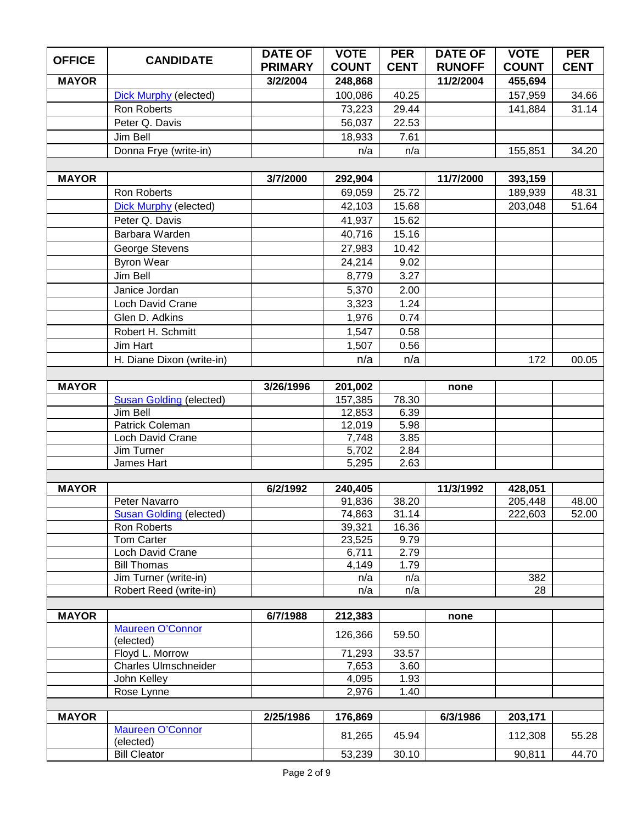| <b>OFFICE</b> | <b>CANDIDATE</b>               | <b>DATE OF</b> | <b>VOTE</b>     | <b>PER</b>   | <b>DATE OF</b> | <b>VOTE</b>  | <b>PER</b>  |
|---------------|--------------------------------|----------------|-----------------|--------------|----------------|--------------|-------------|
|               |                                | <b>PRIMARY</b> | <b>COUNT</b>    | <b>CENT</b>  | <b>RUNOFF</b>  | <b>COUNT</b> | <b>CENT</b> |
| <b>MAYOR</b>  |                                | 3/2/2004       | 248,868         |              | 11/2/2004      | 455,694      |             |
|               | <b>Dick Murphy (elected)</b>   |                | 100,086         | 40.25        |                | 157,959      | 34.66       |
|               | Ron Roberts                    |                | 73,223          | 29.44        |                | 141,884      | 31.14       |
|               | Peter Q. Davis                 |                | 56,037          | 22.53        |                |              |             |
|               | Jim Bell                       |                | 18,933          | 7.61         |                |              |             |
|               | Donna Frye (write-in)          |                | n/a             | n/a          |                | 155,851      | 34.20       |
|               |                                |                |                 |              |                |              |             |
| <b>MAYOR</b>  |                                | 3/7/2000       | 292,904         |              | 11/7/2000      | 393,159      |             |
|               | Ron Roberts                    |                | 69,059          | 25.72        |                | 189,939      | 48.31       |
|               | <b>Dick Murphy (elected)</b>   |                | 42,103          | 15.68        |                | 203,048      | 51.64       |
|               | Peter Q. Davis                 |                | 41,937          | 15.62        |                |              |             |
|               | Barbara Warden                 |                | 40,716          | 15.16        |                |              |             |
|               | George Stevens                 |                | 27,983          | 10.42        |                |              |             |
|               | <b>Byron Wear</b>              |                | 24,214          | 9.02         |                |              |             |
|               | Jim Bell                       |                | 8,779           | 3.27         |                |              |             |
|               | Janice Jordan                  |                | 5,370           | 2.00         |                |              |             |
|               | Loch David Crane               |                | 3,323           | 1.24         |                |              |             |
|               | Glen D. Adkins                 |                | 1,976           | 0.74         |                |              |             |
|               | Robert H. Schmitt              |                | 1,547           | 0.58         |                |              |             |
|               | Jim Hart                       |                | 1,507           | 0.56         |                |              |             |
|               | H. Diane Dixon (write-in)      |                | n/a             | n/a          |                | 172          | 00.05       |
|               |                                |                |                 |              |                |              |             |
| <b>MAYOR</b>  |                                | 3/26/1996      | 201,002         |              | none           |              |             |
|               | <b>Susan Golding (elected)</b> |                | 157,385         | 78.30        |                |              |             |
|               | Jim Bell                       |                | 12,853          | 6.39         |                |              |             |
|               | Patrick Coleman                |                | 12,019          | 5.98         |                |              |             |
|               | <b>Loch David Crane</b>        |                | 7,748           | 3.85         |                |              |             |
|               | Jim Turner                     |                | 5,702           | 2.84         |                |              |             |
|               | James Hart                     |                | 5,295           | 2.63         |                |              |             |
|               |                                |                |                 |              |                |              |             |
| <b>MAYOR</b>  |                                | 6/2/1992       | 240,405         |              | 11/3/1992      | 428,051      |             |
|               | Peter Navarro                  |                | 91,836          | 38.20        |                | 205,448      | 48.00       |
|               | <b>Susan Golding (elected)</b> |                | 74,863          | 31.14        |                | 222,603      | 52.00       |
|               | Ron Roberts<br>Tom Carter      |                | 39,321          | 16.36        |                |              |             |
|               | Loch David Crane               |                | 23,525<br>6,711 | 9.79<br>2.79 |                |              |             |
|               | <b>Bill Thomas</b>             |                | 4,149           | 1.79         |                |              |             |
|               | Jim Turner (write-in)          |                | n/a             | n/a          |                | 382          |             |
|               | Robert Reed (write-in)         |                | n/a             | n/a          |                | 28           |             |
|               |                                |                |                 |              |                |              |             |
| <b>MAYOR</b>  |                                | 6/7/1988       | 212,383         |              | none           |              |             |
|               | <b>Maureen O'Connor</b>        |                | 126,366         | 59.50        |                |              |             |
|               | (elected)                      |                |                 |              |                |              |             |
|               | Floyd L. Morrow                |                | 71,293          | 33.57        |                |              |             |
|               | <b>Charles Ulmschneider</b>    |                | 7,653           | 3.60         |                |              |             |
|               | John Kelley                    |                | 4,095           | 1.93         |                |              |             |
|               | Rose Lynne                     |                | 2,976           | 1.40         |                |              |             |
| <b>MAYOR</b>  |                                | 2/25/1986      | 176,869         |              | 6/3/1986       | 203,171      |             |
|               | <b>Maureen O'Connor</b>        |                |                 |              |                |              |             |
|               | (elected)                      |                | 81,265          | 45.94        |                | 112,308      | 55.28       |
|               | <b>Bill Cleator</b>            |                | 53,239          | 30.10        |                | 90,811       | 44.70       |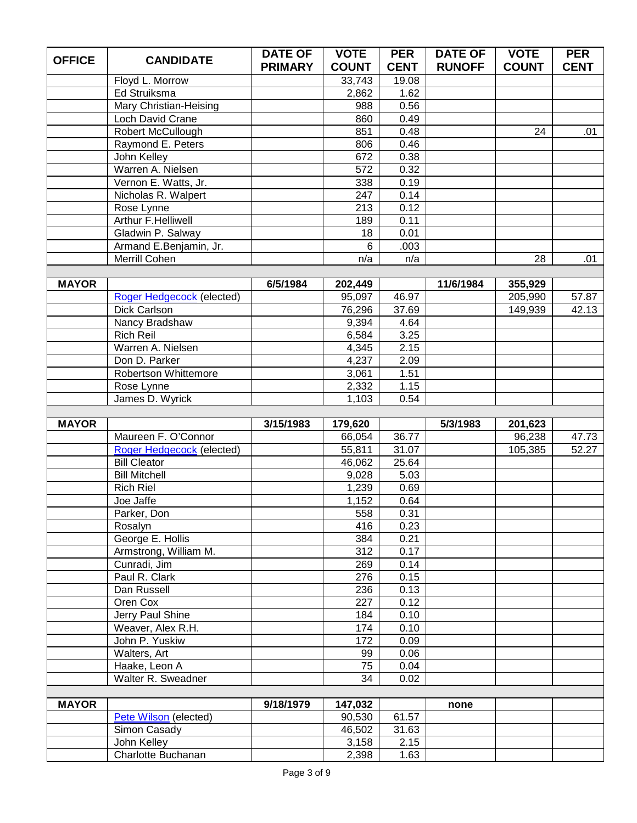| <b>OFFICE</b> | <b>CANDIDATE</b>                        | <b>DATE OF</b> | <b>VOTE</b>       | <b>PER</b>    | <b>DATE OF</b> | <b>VOTE</b>  | <b>PER</b>  |
|---------------|-----------------------------------------|----------------|-------------------|---------------|----------------|--------------|-------------|
|               |                                         | <b>PRIMARY</b> | <b>COUNT</b>      | <b>CENT</b>   | <b>RUNOFF</b>  | <b>COUNT</b> | <b>CENT</b> |
|               | Floyd L. Morrow                         |                | 33,743            | 19.08         |                |              |             |
|               | Ed Struiksma                            |                | 2,862             | 1.62          |                |              |             |
|               | <b>Mary Christian-Heising</b>           |                | 988               | 0.56          |                |              |             |
|               | Loch David Crane                        |                | 860               | 0.49          |                |              |             |
|               | Robert McCullough                       |                | 851               | 0.48          |                | 24           | .01         |
|               | Raymond E. Peters                       |                | 806               | 0.46          |                |              |             |
|               | John Kelley                             |                | 672               | 0.38          |                |              |             |
|               | Warren A. Nielsen                       |                | 572               | 0.32          |                |              |             |
|               | Vernon E. Watts, Jr.                    |                | 338               | 0.19          |                |              |             |
|               | Nicholas R. Walpert                     |                | 247               | 0.14          |                |              |             |
|               | Rose Lynne                              |                | 213               | 0.12          |                |              |             |
|               | <b>Arthur F.Helliwell</b>               |                | 189               | 0.11          |                |              |             |
|               | Gladwin P. Salway                       |                | 18                | 0.01          |                |              |             |
|               | Armand E.Benjamin, Jr.<br>Merrill Cohen |                | 6                 | .003          |                |              |             |
|               |                                         |                | n/a               | n/a           |                | 28           | .01         |
| <b>MAYOR</b>  |                                         | 6/5/1984       |                   |               | 11/6/1984      | 355,929      |             |
|               | Roger Hedgecock (elected)               |                | 202,449<br>95,097 | 46.97         |                | 205,990      | 57.87       |
|               | Dick Carlson                            |                | 76,296            | 37.69         |                | 149,939      | 42.13       |
|               | Nancy Bradshaw                          |                | 9,394             | 4.64          |                |              |             |
|               | <b>Rich Reil</b>                        |                | 6,584             | 3.25          |                |              |             |
|               | Warren A. Nielsen                       |                | 4,345             | 2.15          |                |              |             |
|               | Don D. Parker                           |                | 4,237             | 2.09          |                |              |             |
|               | Robertson Whittemore                    |                | 3,061             | 1.51          |                |              |             |
|               | Rose Lynne                              |                | 2,332             | 1.15          |                |              |             |
|               | James D. Wyrick                         |                | 1,103             | 0.54          |                |              |             |
|               |                                         |                |                   |               |                |              |             |
|               |                                         |                |                   |               |                |              |             |
| <b>MAYOR</b>  |                                         | 3/15/1983      | 179,620           |               | 5/3/1983       | 201,623      |             |
|               | Maureen F. O'Connor                     |                | 66,054            | 36.77         |                | 96,238       | 47.73       |
|               | Roger Hedgecock (elected)               |                | 55,811            | 31.07         |                | 105,385      | 52.27       |
|               | <b>Bill Cleator</b>                     |                | 46,062            | 25.64         |                |              |             |
|               | <b>Bill Mitchell</b>                    |                | 9,028             | 5.03          |                |              |             |
|               | <b>Rich Riel</b>                        |                | 1,239             | 0.69          |                |              |             |
|               | Joe Jaffe                               |                | 1,152             | 0.64          |                |              |             |
|               | Parker, Don                             |                | 558               | 0.31          |                |              |             |
|               | Rosalyn                                 |                | 416               | 0.23          |                |              |             |
|               | George E. Hollis                        |                | 384               | 0.21          |                |              |             |
|               | Armstrong, William M.                   |                | 312               | 0.17          |                |              |             |
|               | Cunradi, Jim                            |                | 269               | 0.14          |                |              |             |
|               | Paul R. Clark                           |                | 276               | 0.15          |                |              |             |
|               | Dan Russell                             |                | 236               | 0.13          |                |              |             |
|               | Oren Cox                                |                | 227               | 0.12          |                |              |             |
|               | Jerry Paul Shine                        |                | 184               | 0.10          |                |              |             |
|               | Weaver, Alex R.H.                       |                | 174               | 0.10          |                |              |             |
|               | John P. Yuskiw                          |                | 172               | 0.09          |                |              |             |
|               | Walters, Art                            |                | 99                | 0.06          |                |              |             |
|               | Haake, Leon A                           |                | 75                | 0.04          |                |              |             |
|               | Walter R. Sweadner                      |                | 34                | 0.02          |                |              |             |
|               |                                         |                |                   |               | none           |              |             |
| <b>MAYOR</b>  |                                         | 9/18/1979      | 147,032           |               |                |              |             |
|               | Pete Wilson (elected)                   |                | 90,530            | 61.57         |                |              |             |
|               | Simon Casady<br>John Kelley             |                | 46,502<br>3,158   | 31.63<br>2.15 |                |              |             |
|               | Charlotte Buchanan                      |                | 2,398             | 1.63          |                |              |             |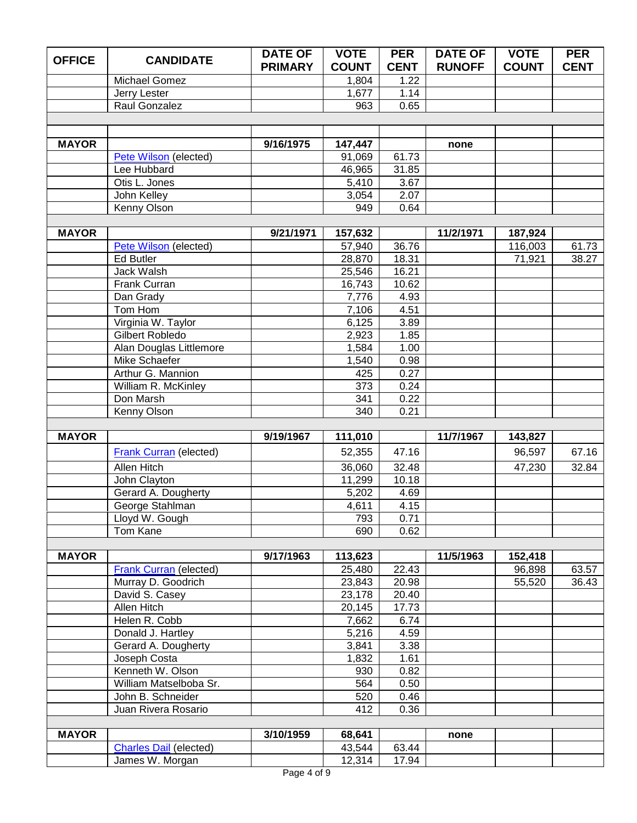| <b>OFFICE</b> | <b>CANDIDATE</b>                    | <b>DATE OF</b> | <b>VOTE</b>    | <b>PER</b>   | <b>DATE OF</b> | <b>VOTE</b>  | <b>PER</b>  |
|---------------|-------------------------------------|----------------|----------------|--------------|----------------|--------------|-------------|
|               |                                     | <b>PRIMARY</b> | <b>COUNT</b>   | <b>CENT</b>  | <b>RUNOFF</b>  | <b>COUNT</b> | <b>CENT</b> |
|               | Michael Gomez                       |                | 1,804          | 1.22         |                |              |             |
|               | Jerry Lester                        |                | 1,677          | 1.14         |                |              |             |
|               | Raul Gonzalez                       |                | 963            | 0.65         |                |              |             |
|               |                                     |                |                |              |                |              |             |
| <b>MAYOR</b>  |                                     | 9/16/1975      | 147,447        |              | none           |              |             |
|               | Pete Wilson (elected)               |                | 91,069         | 61.73        |                |              |             |
|               | Lee Hubbard                         |                | 46,965         | 31.85        |                |              |             |
|               | Otis L. Jones                       |                | 5,410          | 3.67         |                |              |             |
|               | John Kelley                         |                | 3,054          | 2.07         |                |              |             |
|               | Kenny Olson                         |                | 949            | 0.64         |                |              |             |
|               |                                     |                |                |              |                |              |             |
| <b>MAYOR</b>  |                                     | 9/21/1971      | 157,632        |              | 11/2/1971      | 187,924      |             |
|               | Pete Wilson (elected)               |                | 57,940         | 36.76        |                | 116,003      | 61.73       |
|               | <b>Ed Butler</b>                    |                | 28,870         | 18.31        |                | 71,921       | 38.27       |
|               | Jack Walsh                          |                | 25,546         | 16.21        |                |              |             |
|               | Frank Curran                        |                | 16,743         | 10.62        |                |              |             |
|               | Dan Grady                           |                | 7,776          | 4.93         |                |              |             |
|               | Tom Hom                             |                | 7,106          | 4.51         |                |              |             |
|               | Virginia W. Taylor                  |                | 6,125          | 3.89         |                |              |             |
|               | Gilbert Robledo                     |                | 2,923          | 1.85         |                |              |             |
|               | Alan Douglas Littlemore             |                | 1,584          | 1.00         |                |              |             |
|               | Mike Schaefer                       |                | 1,540          | 0.98         |                |              |             |
|               | Arthur G. Mannion                   |                | 425            | 0.27         |                |              |             |
|               | William R. McKinley                 |                | 373            | 0.24         |                |              |             |
|               | Don Marsh                           |                | 341            | 0.22         |                |              |             |
|               | Kenny Olson                         |                | 340            | 0.21         |                |              |             |
| <b>MAYOR</b>  |                                     | 9/19/1967      | 111,010        |              | 11/7/1967      | 143,827      |             |
|               | <b>Frank Curran (elected)</b>       |                | 52,355         | 47.16        |                | 96,597       | 67.16       |
|               | <b>Allen Hitch</b>                  |                | 36,060         | 32.48        |                | 47,230       | 32.84       |
|               | John Clayton                        |                | 11,299         | 10.18        |                |              |             |
|               | Gerard A. Dougherty                 |                | 5,202          | 4.69         |                |              |             |
|               | George Stahlman                     |                | 4,611          | 4.15         |                |              |             |
|               | Lloyd W. Gough                      |                | 793            | 0.71         |                |              |             |
|               | <b>Tom Kane</b>                     |                | 690            | 0.62         |                |              |             |
|               |                                     |                |                |              |                |              |             |
| <b>MAYOR</b>  |                                     | 9/17/1963      | 113,623        |              | 11/5/1963      | 152,418      |             |
|               | <b>Frank Curran (elected)</b>       |                | 25,480         | 22.43        |                | 96,898       | 63.57       |
|               | Murray D. Goodrich                  |                | 23,843         | 20.98        |                | 55,520       | 36.43       |
|               | David S. Casey                      |                | 23,178         | 20.40        |                |              |             |
|               | Allen Hitch                         |                | 20,145         | 17.73        |                |              |             |
|               | Helen R. Cobb                       |                | 7,662          | 6.74         |                |              |             |
|               | Donald J. Hartley                   |                | 5,216          | 4.59         |                |              |             |
|               | Gerard A. Dougherty<br>Joseph Costa |                | 3,841<br>1,832 | 3.38<br>1.61 |                |              |             |
|               | Kenneth W. Olson                    |                | 930            | 0.82         |                |              |             |
|               | William Matselboba Sr.              |                | 564            | 0.50         |                |              |             |
|               | John B. Schneider                   |                | 520            | 0.46         |                |              |             |
|               | Juan Rivera Rosario                 |                | 412            | 0.36         |                |              |             |
|               |                                     |                |                |              |                |              |             |
| <b>MAYOR</b>  |                                     | 3/10/1959      | 68,641         |              | none           |              |             |
|               | <b>Charles Dail (elected)</b>       |                | 43,544         | 63.44        |                |              |             |
|               | James W. Morgan                     |                | 12,314         | 17.94        |                |              |             |
|               |                                     |                |                |              |                |              |             |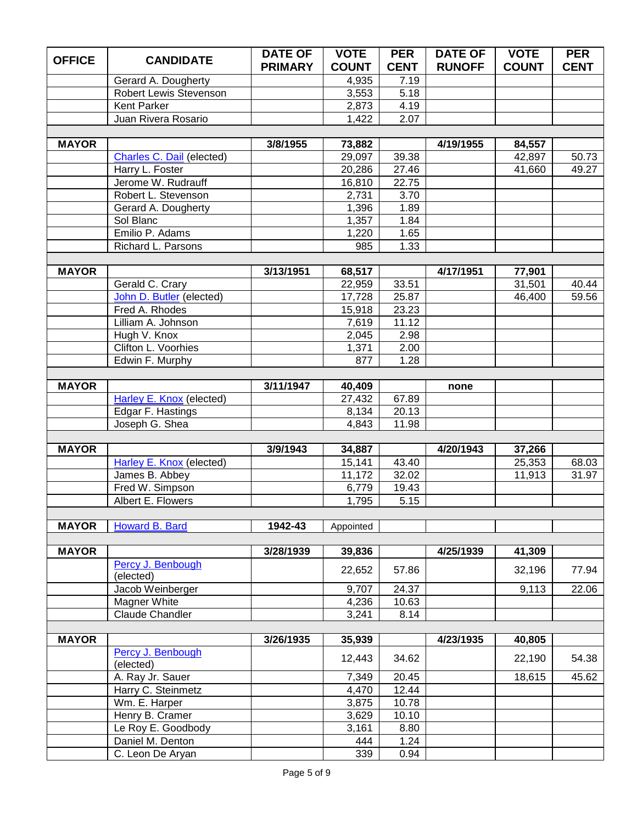| <b>OFFICE</b> | <b>CANDIDATE</b>                | <b>DATE OF</b> | <b>VOTE</b>      | <b>PER</b>  | <b>DATE OF</b> | <b>VOTE</b>  | <b>PER</b>  |
|---------------|---------------------------------|----------------|------------------|-------------|----------------|--------------|-------------|
|               |                                 | <b>PRIMARY</b> | <b>COUNT</b>     | <b>CENT</b> | <b>RUNOFF</b>  | <b>COUNT</b> | <b>CENT</b> |
|               | Gerard A. Dougherty             |                | 4,935            | 7.19        |                |              |             |
|               | Robert Lewis Stevenson          |                | 3,553            | 5.18        |                |              |             |
|               | Kent Parker                     |                | 2,873            | 4.19        |                |              |             |
|               | Juan Rivera Rosario             |                | 1,422            | 2.07        |                |              |             |
| <b>MAYOR</b>  |                                 | 3/8/1955       | 73,882           |             | 4/19/1955      | 84,557       |             |
|               | Charles C. Dail (elected)       |                | 29,097           | 39.38       |                | 42,897       | 50.73       |
|               | Harry L. Foster                 |                | 20,286           | 27.46       |                | 41,660       | 49.27       |
|               | Jerome W. Rudrauff              |                | 16,810           | 22.75       |                |              |             |
|               | Robert L. Stevenson             |                | 2,731            | 3.70        |                |              |             |
|               | Gerard A. Dougherty             |                | 1,396            | 1.89        |                |              |             |
|               | Sol Blanc                       |                | 1,357            | 1.84        |                |              |             |
|               | Emilio P. Adams                 |                | 1,220            | 1.65        |                |              |             |
|               | Richard L. Parsons              |                | 985              | 1.33        |                |              |             |
|               |                                 |                |                  |             |                |              |             |
| <b>MAYOR</b>  |                                 | 3/13/1951      | 68,517           |             | 4/17/1951      | 77,901       |             |
|               | Gerald C. Crary                 |                | 22,959           | 33.51       |                | 31,501       | 40.44       |
|               | John D. Butler (elected)        |                | 17,728           | 25.87       |                | 46,400       | 59.56       |
|               | Fred A. Rhodes                  |                | 15,918           | 23.23       |                |              |             |
|               | Lilliam A. Johnson              |                | 7,619            | 11.12       |                |              |             |
|               | Hugh V. Knox                    |                | 2,045            | 2.98        |                |              |             |
|               | Clifton L. Voorhies             |                | 1,371            | 2.00        |                |              |             |
|               | Edwin F. Murphy                 |                | 877              | 1.28        |                |              |             |
|               |                                 |                |                  |             |                |              |             |
| <b>MAYOR</b>  | Harley E. Knox (elected)        | 3/11/1947      | 40,409<br>27,432 | 67.89       | none           |              |             |
|               | Edgar F. Hastings               |                | 8,134            | 20.13       |                |              |             |
|               | Joseph G. Shea                  |                | 4,843            | 11.98       |                |              |             |
|               |                                 |                |                  |             |                |              |             |
| <b>MAYOR</b>  |                                 | 3/9/1943       | 34,887           |             | 4/20/1943      | 37,266       |             |
|               | <b>Harley E. Knox (elected)</b> |                | 15,141           | 43.40       |                | 25,353       | 68.03       |
|               | James B. Abbey                  |                | 11,172           | 32.02       |                | 11,913       | 31.97       |
|               | Fred W. Simpson                 |                | 6,779            | 19.43       |                |              |             |
|               | Albert E. Flowers               |                | 1,795            | 5.15        |                |              |             |
|               |                                 |                |                  |             |                |              |             |
| <b>MAYOR</b>  | Howard B. Bard                  | 1942-43        | Appointed        |             |                |              |             |
|               |                                 |                |                  |             |                |              |             |
| <b>MAYOR</b>  |                                 | 3/28/1939      | 39,836           |             | 4/25/1939      | 41,309       |             |
|               | Percy J. Benbough               |                | 22,652           | 57.86       |                | 32,196       | 77.94       |
|               | (elected)<br>Jacob Weinberger   |                | 9,707            | 24.37       |                | 9,113        | 22.06       |
|               | Magner White                    |                | 4,236            | 10.63       |                |              |             |
|               | <b>Claude Chandler</b>          |                | 3,241            | 8.14        |                |              |             |
|               |                                 |                |                  |             |                |              |             |
| <b>MAYOR</b>  |                                 | 3/26/1935      | 35,939           |             | 4/23/1935      | 40,805       |             |
|               | Percy J. Benbough               |                |                  |             |                |              |             |
|               | (elected)                       |                | 12,443           | 34.62       |                | 22,190       | 54.38       |
|               | A. Ray Jr. Sauer                |                | 7,349            | 20.45       |                | 18,615       | 45.62       |
|               | Harry C. Steinmetz              |                | 4,470            | 12.44       |                |              |             |
|               | Wm. E. Harper                   |                | 3,875            | 10.78       |                |              |             |
|               | Henry B. Cramer                 |                | 3,629            | 10.10       |                |              |             |
|               | Le Roy E. Goodbody              |                | 3,161            | 8.80        |                |              |             |
|               | Daniel M. Denton                |                | 444              | 1.24        |                |              |             |
|               | C. Leon De Aryan                |                | 339              | 0.94        |                |              |             |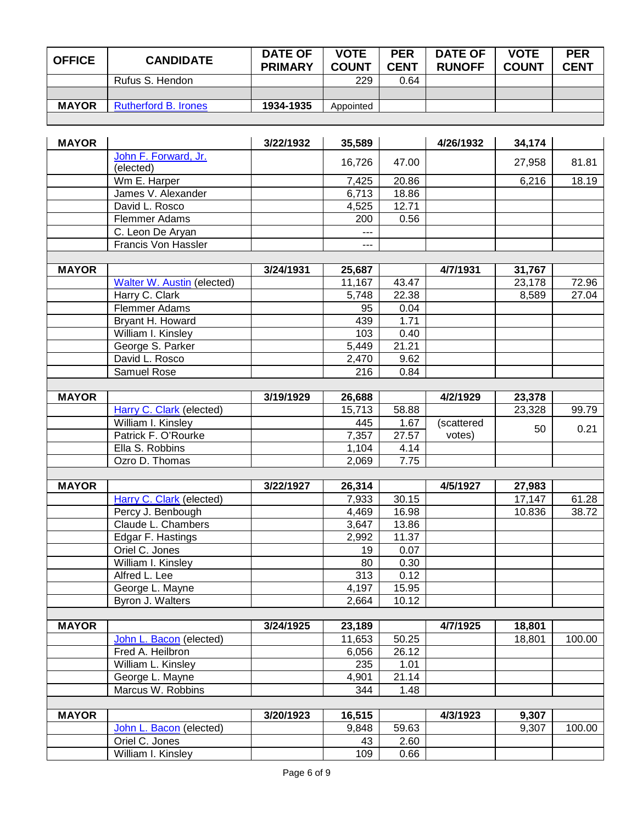| <b>OFFICE</b> | <b>CANDIDATE</b>            | <b>DATE OF</b><br><b>PRIMARY</b> | <b>VOTE</b><br><b>COUNT</b> | <b>PER</b><br><b>CENT</b> | <b>DATE OF</b><br><b>RUNOFF</b> | <b>VOTE</b><br><b>COUNT</b> | <b>PER</b><br><b>CENT</b> |
|---------------|-----------------------------|----------------------------------|-----------------------------|---------------------------|---------------------------------|-----------------------------|---------------------------|
|               | Rufus S. Hendon             |                                  | 229                         | 0.64                      |                                 |                             |                           |
|               |                             |                                  |                             |                           |                                 |                             |                           |
| <b>MAYOR</b>  | <b>Rutherford B. Irones</b> | 1934-1935                        | Appointed                   |                           |                                 |                             |                           |
|               |                             |                                  |                             |                           |                                 |                             |                           |

| <b>MAYOR</b> |                                                | 3/22/1932 | 35,589            |       | 4/26/1932  | 34,174 |        |
|--------------|------------------------------------------------|-----------|-------------------|-------|------------|--------|--------|
|              | John F. Forward, Jr.                           |           | 16,726            | 47.00 |            | 27,958 | 81.81  |
|              | (elected)                                      |           |                   |       |            |        |        |
|              | Wm E. Harper                                   |           | 7,425             | 20.86 |            | 6,216  | 18.19  |
|              | James V. Alexander                             |           | 6,713             | 18.86 |            |        |        |
|              | David L. Rosco                                 |           | 4,525             | 12.71 |            |        |        |
|              | <b>Flemmer Adams</b>                           |           | 200               | 0.56  |            |        |        |
|              | C. Leon De Aryan<br><b>Francis Von Hassler</b> |           | $\qquad \qquad -$ |       |            |        |        |
|              |                                                |           | ---               |       |            |        |        |
| <b>MAYOR</b> |                                                | 3/24/1931 | 25,687            |       | 4/7/1931   | 31,767 |        |
|              | Walter W. Austin (elected)                     |           | 11,167            | 43.47 |            | 23,178 | 72.96  |
|              | Harry C. Clark                                 |           | 5,748             | 22.38 |            | 8,589  | 27.04  |
|              | Flemmer Adams                                  |           | 95                | 0.04  |            |        |        |
|              | Bryant H. Howard                               |           | 439               | 1.71  |            |        |        |
|              | William I. Kinsley                             |           | 103               | 0.40  |            |        |        |
|              | George S. Parker                               |           | 5,449             | 21.21 |            |        |        |
|              | David L. Rosco                                 |           | 2,470             | 9.62  |            |        |        |
|              | Samuel Rose                                    |           | 216               | 0.84  |            |        |        |
|              |                                                |           |                   |       |            |        |        |
| <b>MAYOR</b> |                                                | 3/19/1929 | 26,688            |       | 4/2/1929   | 23,378 |        |
|              | Harry C. Clark (elected)                       |           | 15,713            | 58.88 |            | 23,328 | 99.79  |
|              | William I. Kinsley                             |           | 445               | 1.67  | (scattered |        | 0.21   |
|              | Patrick F. O'Rourke                            |           | 7,357             | 27.57 | votes)     | 50     |        |
|              | Ella S. Robbins                                |           | 1,104             | 4.14  |            |        |        |
|              | Ozro D. Thomas                                 |           | 2,069             | 7.75  |            |        |        |
|              |                                                |           |                   |       |            |        |        |
| <b>MAYOR</b> |                                                | 3/22/1927 | 26,314            |       | 4/5/1927   | 27,983 |        |
|              | Harry C. Clark (elected)                       |           | 7,933             | 30.15 |            | 17,147 | 61.28  |
|              | Percy J. Benbough                              |           | 4,469             | 16.98 |            | 10.836 | 38.72  |
|              | Claude L. Chambers                             |           | 3,647             | 13.86 |            |        |        |
|              | Edgar F. Hastings                              |           | 2,992             | 11.37 |            |        |        |
|              | Oriel C. Jones                                 |           | 19                | 0.07  |            |        |        |
|              | William I. Kinsley                             |           | 80                | 0.30  |            |        |        |
|              | Alfred L. Lee                                  |           | 313               | 0.12  |            |        |        |
|              | George L. Mayne                                |           | 4,197             | 15.95 |            |        |        |
|              | Byron J. Walters                               |           | 2,664             | 10.12 |            |        |        |
| <b>MAYOR</b> |                                                | 3/24/1925 | 23,189            |       | 4/7/1925   | 18,801 |        |
|              | John L. Bacon (elected)                        |           | 11,653            | 50.25 |            | 18,801 | 100.00 |
|              | Fred A. Heilbron                               |           | 6,056             | 26.12 |            |        |        |
|              | William L. Kinsley                             |           | 235               | 1.01  |            |        |        |
|              | George L. Mayne                                |           | 4,901             | 21.14 |            |        |        |
|              | Marcus W. Robbins                              |           | 344               | 1.48  |            |        |        |
|              |                                                |           |                   |       |            |        |        |
| <b>MAYOR</b> |                                                | 3/20/1923 | 16,515            |       | 4/3/1923   | 9,307  |        |
|              | John L. Bacon (elected)                        |           | 9,848             | 59.63 |            | 9,307  | 100.00 |
|              | Oriel C. Jones                                 |           | 43                | 2.60  |            |        |        |
|              | William I. Kinsley                             |           | 109               | 0.66  |            |        |        |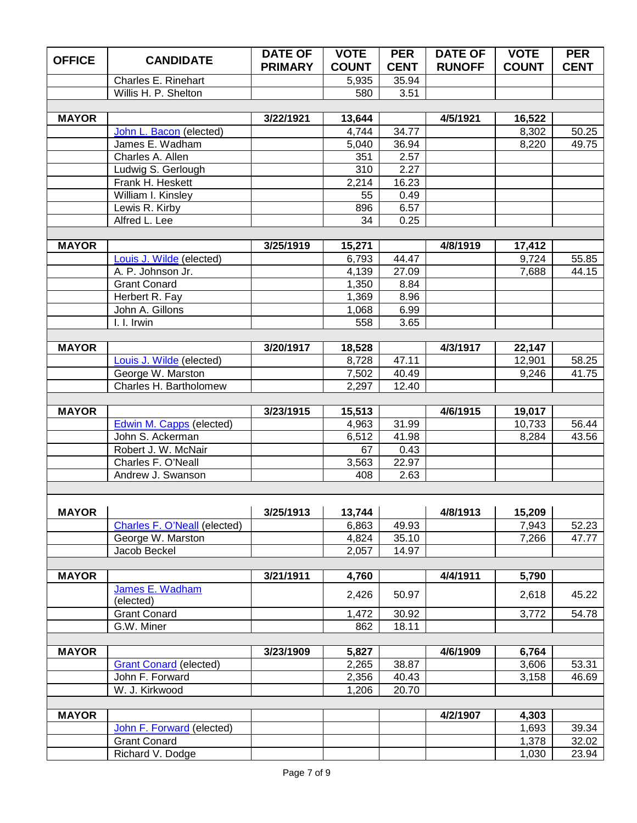| <b>OFFICE</b> | <b>CANDIDATE</b>                       | <b>DATE OF</b> | <b>VOTE</b>    | <b>PER</b>     | <b>DATE OF</b> | <b>VOTE</b>  | <b>PER</b>  |
|---------------|----------------------------------------|----------------|----------------|----------------|----------------|--------------|-------------|
|               |                                        | <b>PRIMARY</b> | <b>COUNT</b>   | <b>CENT</b>    | <b>RUNOFF</b>  | <b>COUNT</b> | <b>CENT</b> |
|               | Charles E. Rinehart                    |                | 5,935          | 35.94          |                |              |             |
|               | Willis H. P. Shelton                   |                | 580            | 3.51           |                |              |             |
|               |                                        |                |                |                |                |              |             |
| <b>MAYOR</b>  |                                        | 3/22/1921      | 13,644         |                | 4/5/1921       | 16,522       |             |
|               | John L. Bacon (elected)                |                | 4,744          | 34.77          |                | 8,302        | 50.25       |
|               | James E. Wadham                        |                | 5,040          | 36.94          |                | 8,220        | 49.75       |
|               | Charles A. Allen                       |                | 351            | 2.57           |                |              |             |
|               | Ludwig S. Gerlough<br>Frank H. Heskett |                | 310<br>2,214   | 2.27<br>16.23  |                |              |             |
|               | William I. Kinsley                     |                | 55             | 0.49           |                |              |             |
|               | Lewis R. Kirby                         |                | 896            | 6.57           |                |              |             |
|               | Alfred L. Lee                          |                | 34             | 0.25           |                |              |             |
|               |                                        |                |                |                |                |              |             |
| <b>MAYOR</b>  |                                        | 3/25/1919      | 15,271         |                | 4/8/1919       | 17,412       |             |
|               | Louis J. Wilde (elected)               |                | 6,793          | 44.47          |                | 9,724        | 55.85       |
|               | A. P. Johnson Jr.                      |                | 4,139          | 27.09          |                | 7,688        | 44.15       |
|               | <b>Grant Conard</b>                    |                | 1,350          | 8.84           |                |              |             |
|               | Herbert R. Fay                         |                | 1,369          | 8.96           |                |              |             |
|               | John A. Gillons                        |                | 1,068          | 6.99           |                |              |             |
|               | I. I. Irwin                            |                | 558            | 3.65           |                |              |             |
|               |                                        |                |                |                |                |              |             |
| <b>MAYOR</b>  |                                        | 3/20/1917      | 18,528         |                | 4/3/1917       | 22,147       |             |
|               | Louis J. Wilde (elected)               |                | 8,728          | 47.11          |                | 12,901       | 58.25       |
|               | George W. Marston                      |                | 7,502          | 40.49          |                | 9,246        | 41.75       |
|               | Charles H. Bartholomew                 |                | 2,297          | 12.40          |                |              |             |
|               |                                        |                |                |                |                |              |             |
| <b>MAYOR</b>  |                                        | 3/23/1915      | 15,513         |                | 4/6/1915       | 19,017       |             |
|               | <b>Edwin M. Capps (elected)</b>        |                | 4,963          | 31.99          |                | 10,733       | 56.44       |
|               | John S. Ackerman                       |                | 6,512          | 41.98          |                | 8,284        | 43.56       |
|               | Robert J. W. McNair                    |                | 67             | 0.43           |                |              |             |
|               | Charles F. O'Neall                     |                | 3,563          | 22.97          |                |              |             |
|               | Andrew J. Swanson                      |                | 408            | 2.63           |                |              |             |
|               |                                        |                |                |                |                |              |             |
|               |                                        |                |                |                |                |              |             |
| MAYOR         |                                        |                |                | 49.93          |                |              |             |
|               | <b>Charles F. O'Neall (elected)</b>    |                | 6,863          |                |                | 7,943        | 52.23       |
|               | George W. Marston<br>Jacob Beckel      |                | 4,824<br>2,057 | 35.10<br>14.97 |                | 7,266        | 47.77       |
|               |                                        |                |                |                |                |              |             |
| <b>MAYOR</b>  |                                        | 3/21/1911      | 4,760          |                | 4/4/1911       | 5,790        |             |
|               | James E. Wadham                        |                |                |                |                |              |             |
|               | (elected)                              |                | 2,426          | 50.97          |                | 2,618        | 45.22       |
|               | <b>Grant Conard</b>                    |                | 1,472          | 30.92          |                | 3,772        | 54.78       |
|               | G.W. Miner                             |                | 862            | 18.11          |                |              |             |
|               |                                        |                |                |                |                |              |             |
| <b>MAYOR</b>  |                                        | 3/23/1909      | 5,827          |                | 4/6/1909       | 6,764        |             |
|               | <b>Grant Conard (elected)</b>          |                | 2,265          | 38.87          |                | 3,606        | 53.31       |
|               | John F. Forward                        |                | 2,356          | 40.43          |                | 3,158        | 46.69       |
|               | W. J. Kirkwood                         |                | 1,206          | 20.70          |                |              |             |
|               |                                        |                |                |                |                |              |             |
| <b>MAYOR</b>  |                                        |                |                |                | 4/2/1907       | 4,303        |             |
|               | John F. Forward (elected)              |                |                |                |                | 1,693        | 39.34       |
|               | <b>Grant Conard</b>                    |                |                |                |                | 1,378        | 32.02       |
|               | Richard V. Dodge                       |                |                |                |                | 1,030        | 23.94       |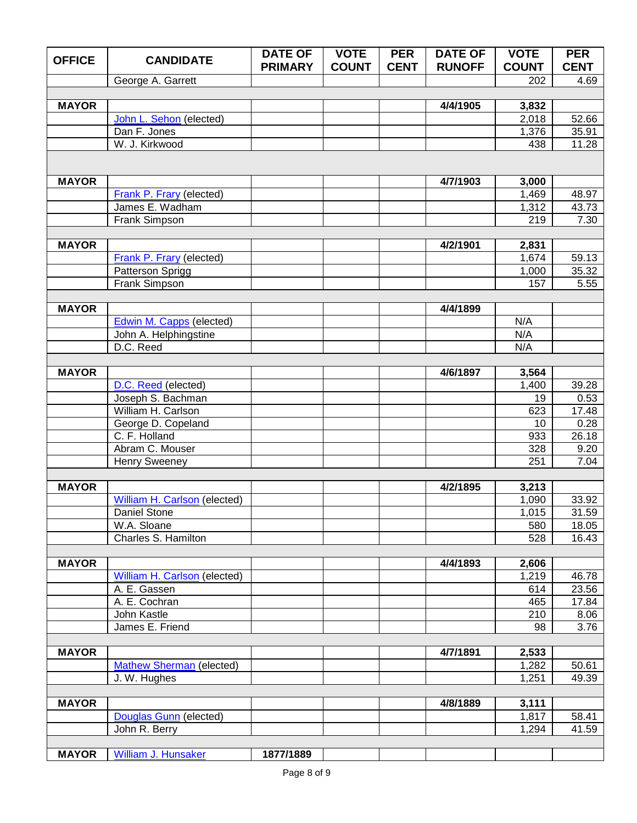| <b>OFFICE</b> | <b>CANDIDATE</b>                    | <b>DATE OF</b><br><b>PRIMARY</b> | <b>VOTE</b><br><b>COUNT</b> | <b>PER</b><br><b>CENT</b> | <b>DATE OF</b><br><b>RUNOFF</b> | <b>VOTE</b><br><b>COUNT</b> | <b>PER</b><br><b>CENT</b> |
|---------------|-------------------------------------|----------------------------------|-----------------------------|---------------------------|---------------------------------|-----------------------------|---------------------------|
|               | George A. Garrett                   |                                  |                             |                           |                                 | 202                         | 4.69                      |
|               |                                     |                                  |                             |                           |                                 |                             |                           |
| <b>MAYOR</b>  |                                     |                                  |                             |                           | 4/4/1905                        | 3,832                       |                           |
|               | John L. Sehon (elected)             |                                  |                             |                           |                                 | 2,018                       | 52.66                     |
|               | Dan F. Jones                        |                                  |                             |                           |                                 | 1,376                       | 35.91                     |
|               | W. J. Kirkwood                      |                                  |                             |                           |                                 | 438                         | 11.28                     |
|               |                                     |                                  |                             |                           |                                 |                             |                           |
| <b>MAYOR</b>  |                                     |                                  |                             |                           | 4/7/1903                        | 3,000                       |                           |
|               | <b>Frank P. Frary (elected)</b>     |                                  |                             |                           |                                 | 1,469                       | 48.97                     |
|               | James E. Wadham                     |                                  |                             |                           |                                 | 1,312                       | 43.73                     |
|               | Frank Simpson                       |                                  |                             |                           |                                 | 219                         | 7.30                      |
|               |                                     |                                  |                             |                           |                                 |                             |                           |
| <b>MAYOR</b>  |                                     |                                  |                             |                           | 4/2/1901                        | 2,831                       |                           |
|               | <b>Frank P. Frary (elected)</b>     |                                  |                             |                           |                                 | 1,674                       | 59.13                     |
|               | Patterson Sprigg                    |                                  |                             |                           |                                 | 1,000                       | 35.32                     |
|               | Frank Simpson                       |                                  |                             |                           |                                 | 157                         | 5.55                      |
| <b>MAYOR</b>  |                                     |                                  |                             |                           | 4/4/1899                        |                             |                           |
|               | <b>Edwin M. Capps (elected)</b>     |                                  |                             |                           |                                 | N/A                         |                           |
|               | John A. Helphingstine               |                                  |                             |                           |                                 | N/A                         |                           |
|               | D.C. Reed                           |                                  |                             |                           |                                 | N/A                         |                           |
|               |                                     |                                  |                             |                           |                                 |                             |                           |
| <b>MAYOR</b>  |                                     |                                  |                             |                           | 4/6/1897                        | 3,564                       |                           |
|               | D.C. Reed (elected)                 |                                  |                             |                           |                                 | 1,400                       | 39.28                     |
|               | Joseph S. Bachman                   |                                  |                             |                           |                                 | 19                          | 0.53                      |
|               | William H. Carlson                  |                                  |                             |                           |                                 | 623                         | 17.48                     |
|               | George D. Copeland<br>C. F. Holland |                                  |                             |                           |                                 | 10<br>933                   | 0.28<br>26.18             |
|               | Abram C. Mouser                     |                                  |                             |                           |                                 | 328                         | 9.20                      |
|               | <b>Henry Sweeney</b>                |                                  |                             |                           |                                 | 251                         | 7.04                      |
|               |                                     |                                  |                             |                           |                                 |                             |                           |
| <b>MAYOR</b>  |                                     |                                  |                             |                           | 4/2/1895                        | 3,213                       |                           |
|               | William H. Carlson (elected)        |                                  |                             |                           |                                 | 1,090                       | 33.92                     |
|               | <b>Daniel Stone</b>                 |                                  |                             |                           |                                 | 1,015                       | 31.59                     |
|               | W.A. Sloane                         |                                  |                             |                           |                                 | 580                         | 18.05                     |
|               | Charles S. Hamilton                 |                                  |                             |                           |                                 | 528                         | 16.43                     |
| <b>MAYOR</b>  |                                     |                                  |                             |                           | 4/4/1893                        | 2,606                       |                           |
|               | William H. Carlson (elected)        |                                  |                             |                           |                                 | 1,219                       | 46.78                     |
|               | A. E. Gassen                        |                                  |                             |                           |                                 | 614                         | 23.56                     |
|               | A. E. Cochran                       |                                  |                             |                           |                                 | 465                         | 17.84                     |
|               | John Kastle                         |                                  |                             |                           |                                 | 210                         | 8.06                      |
|               | James E. Friend                     |                                  |                             |                           |                                 | 98                          | 3.76                      |
|               |                                     |                                  |                             |                           |                                 |                             |                           |
| <b>MAYOR</b>  | <b>Mathew Sherman (elected)</b>     |                                  |                             |                           | 4/7/1891                        | 2,533<br>1,282              | 50.61                     |
|               | J. W. Hughes                        |                                  |                             |                           |                                 | 1,251                       | 49.39                     |
|               |                                     |                                  |                             |                           |                                 |                             |                           |
| <b>MAYOR</b>  |                                     |                                  |                             |                           | 4/8/1889                        | 3,111                       |                           |
|               | Douglas Gunn (elected)              |                                  |                             |                           |                                 | 1,817                       | 58.41                     |
|               | John R. Berry                       |                                  |                             |                           |                                 | 1,294                       | 41.59                     |
|               |                                     |                                  |                             |                           |                                 |                             |                           |
| <b>MAYOR</b>  | William J. Hunsaker                 | 1877/1889                        |                             |                           |                                 |                             |                           |